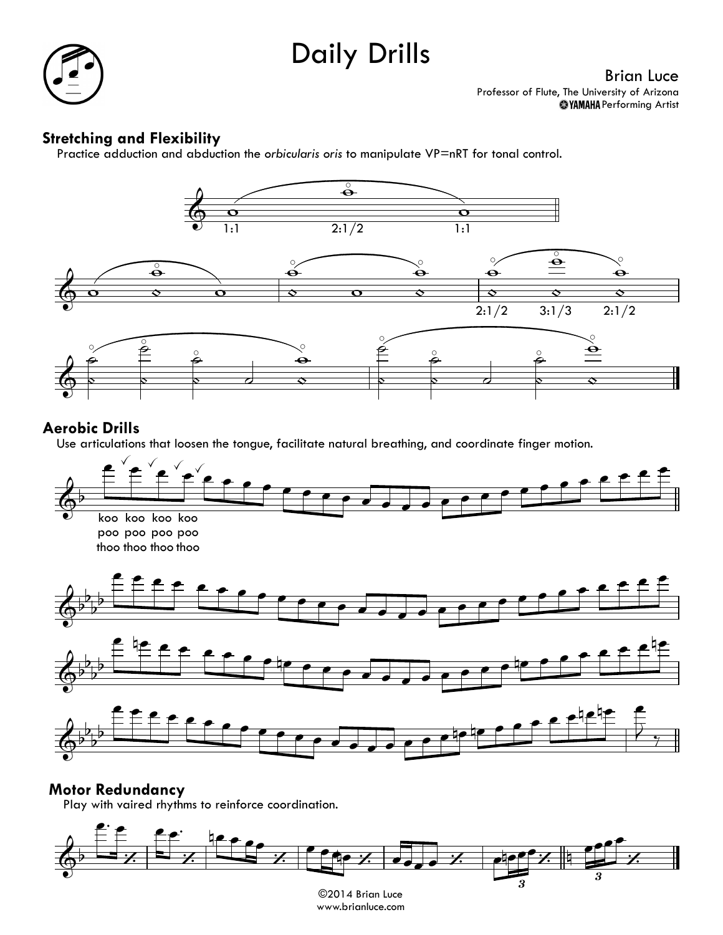# Daily Drills



# **Stretching and Flexibility** Practice

Practice adduction and abduction the *orbicularis oris* to manipulate VP=nRT for tonal control.



#### **Aerobic Drills**

er**opic Drills**<br>Use articulations that loosen the tongue, facilitate natural breathing, and coordinate finger motion.



# **Motor Redundancy** Play

Play with vaired rhythms to reinforce coordination.